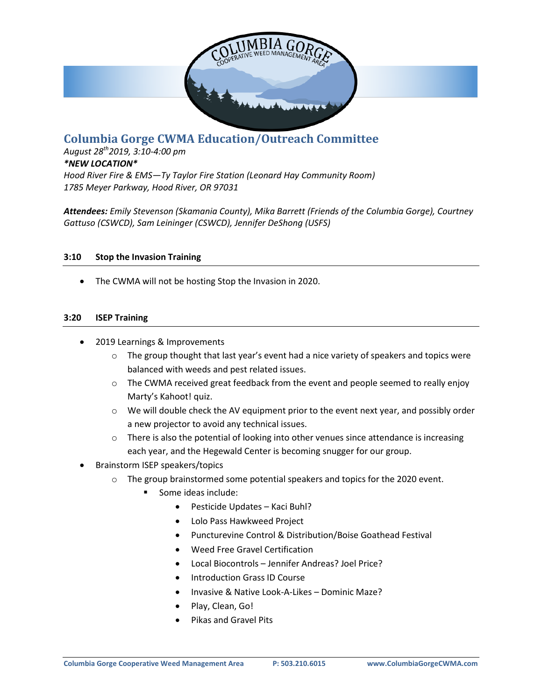

# **Columbia Gorge CWMA Education/Outreach Committee**

*August 28th2019, 3:10-4:00 pm \*NEW LOCATION\* Hood River Fire & EMS—Ty Taylor Fire Station (Leonard Hay Community Room) 1785 Meyer Parkway, Hood River, OR 97031*

*Attendees: Emily Stevenson (Skamania County), Mika Barrett (Friends of the Columbia Gorge), Courtney Gattuso (CSWCD), Sam Leininger (CSWCD), Jennifer DeShong (USFS)*

#### **3:10 Stop the Invasion Training**

The CWMA will not be hosting Stop the Invasion in 2020.

#### **3:20 ISEP Training**

- 2019 Learnings & Improvements
	- $\circ$  The group thought that last year's event had a nice variety of speakers and topics were balanced with weeds and pest related issues.
	- $\circ$  The CWMA received great feedback from the event and people seemed to really enjoy Marty's Kahoot! quiz.
	- $\circ$  We will double check the AV equipment prior to the event next year, and possibly order a new projector to avoid any technical issues.
	- $\circ$  There is also the potential of looking into other venues since attendance is increasing each year, and the Hegewald Center is becoming snugger for our group.
- Brainstorm ISEP speakers/topics
	- $\circ$  The group brainstormed some potential speakers and topics for the 2020 event.
		- Some ideas include:
			- Pesticide Updates Kaci Buhl?
			- Lolo Pass Hawkweed Project
			- Puncturevine Control & Distribution/Boise Goathead Festival
			- Weed Free Gravel Certification
			- Local Biocontrols Jennifer Andreas? Joel Price?
			- Introduction Grass ID Course
			- Invasive & Native Look-A-Likes Dominic Maze?
			- Play, Clean, Go!
			- Pikas and Gravel Pits